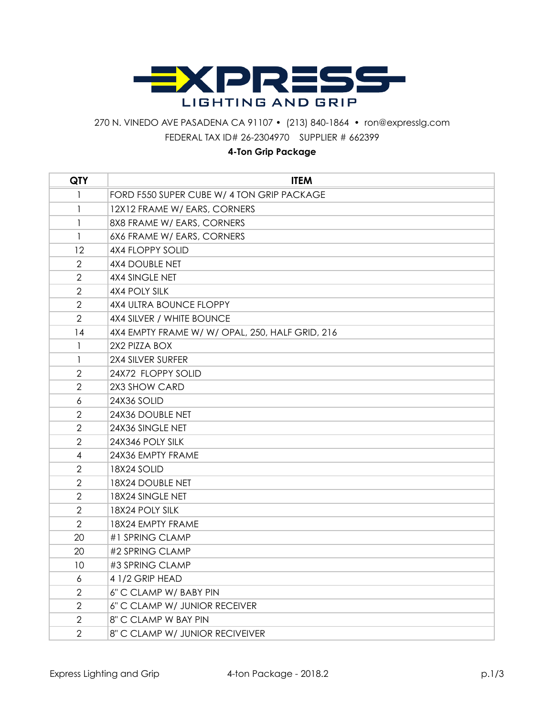

## 270 N. VINEDO AVE PASADENA CA 91107 • (213) 840-1864 • ron@expresslg.com FEDERAL TAX ID# 26-2304970 SUPPLIER # 662399

## **4-Ton Grip Package**

| QTY            | <b>ITEM</b>                                     |
|----------------|-------------------------------------------------|
| 1              | FORD F550 SUPER CUBE W/ 4 TON GRIP PACKAGE      |
| 1              | 12X12 FRAME W/ EARS, CORNERS                    |
| 1              | 8X8 FRAME W/ EARS, CORNERS                      |
| $\mathbf{1}$   | 6X6 FRAME W/ EARS, CORNERS                      |
| 12             | <b>4X4 FLOPPY SOLID</b>                         |
| $\overline{2}$ | <b>4X4 DOUBLE NET</b>                           |
| $\overline{2}$ | 4X4 SINGLE NET                                  |
| 2              | 4X4 POLY SILK                                   |
| $\mathbf{2}$   | 4X4 ULTRA BOUNCE FLOPPY                         |
| $\mathcal{P}$  | 4X4 SILVER / WHITE BOUNCE                       |
| 14             | 4X4 EMPTY FRAME W/ W/ OPAL, 250, HALF GRID, 216 |
| 1              | 2X2 PIZZA BOX                                   |
| 1              | 2X4 SILVER SURFER                               |
| 2              | 24X72 FLOPPY SOLID                              |
| $\overline{2}$ | 2X3 SHOW CARD                                   |
| 6              | 24X36 SOLID                                     |
| $\overline{2}$ | 24X36 DOUBLE NET                                |
| $\overline{2}$ | 24X36 SINGLE NET                                |
| $\overline{2}$ | 24X346 POLY SILK                                |
| 4              | 24X36 EMPTY FRAME                               |
| 2              | 18X24 SOLID                                     |
| $\overline{2}$ | 18X24 DOUBLE NET                                |
| $\overline{2}$ | 18X24 SINGLE NET                                |
| 2              | 18X24 POLY SILK                                 |
| $\overline{2}$ | 18X24 EMPTY FRAME                               |
| 20             | #1 SPRING CLAMP                                 |
| 20             | #2 SPRING CLAMP                                 |
| 10             | #3 SPRING CLAMP                                 |
| 6              | 4 1/2 GRIP HEAD                                 |
| $\mathbf{2}$   | 6" C CLAMP W/ BABY PIN                          |
| $\overline{2}$ | 6" C CLAMP W/ JUNIOR RECEIVER                   |
| 2              | 8" C CLAMP W BAY PIN                            |
| $\overline{2}$ | 8" C CLAMP W/ JUNIOR RECIVEIVER                 |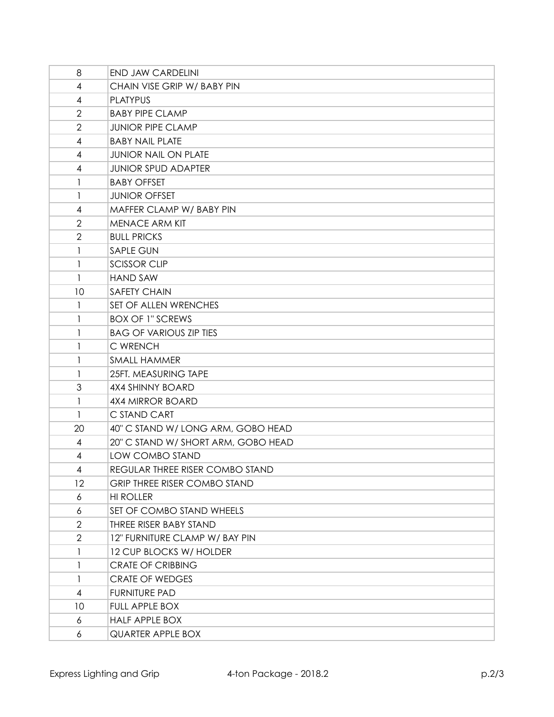| 8              | <b>END JAW CARDELINI</b>            |
|----------------|-------------------------------------|
| 4              | CHAIN VISE GRIP W/ BABY PIN         |
| $\overline{4}$ | <b>PLATYPUS</b>                     |
| $\overline{2}$ | <b>BABY PIPE CLAMP</b>              |
| $\overline{2}$ | <b>JUNIOR PIPE CLAMP</b>            |
| 4              | <b>BABY NAIL PLATE</b>              |
| 4              | <b>JUNIOR NAIL ON PLATE</b>         |
| 4              | <b>JUNIOR SPUD ADAPTER</b>          |
| 1              | <b>BABY OFFSET</b>                  |
| 1              | <b>JUNIOR OFFSET</b>                |
| 4              | MAFFER CLAMP W/ BABY PIN            |
| $\overline{2}$ | <b>MENACE ARM KIT</b>               |
| $\overline{2}$ | <b>BULL PRICKS</b>                  |
| 1              | <b>SAPLE GUN</b>                    |
| 1              | <b>SCISSOR CLIP</b>                 |
| $\mathbf{1}$   | <b>HAND SAW</b>                     |
| 10             | <b>SAFETY CHAIN</b>                 |
| 1              | SET OF ALLEN WRENCHES               |
| $\mathbf{1}$   | <b>BOX OF 1" SCREWS</b>             |
| 1              | <b>BAG OF VARIOUS ZIP TIES</b>      |
| 1              | C WRENCH                            |
| 1              | <b>SMALL HAMMER</b>                 |
| $\mathbf{1}$   | 25FT. MEASURING TAPE                |
| 3              | 4X4 SHINNY BOARD                    |
| 1              | <b>4X4 MIRROR BOARD</b>             |
| 1              | C STAND CART                        |
| 20             | 40" C STAND W/ LONG ARM, GOBO HEAD  |
| 4              | 20" C STAND W/ SHORT ARM, GOBO HEAD |
| $\overline{4}$ | LOW COMBO STAND                     |
| 4              | REGULAR THREE RISER COMBO STAND     |
| $12 \,$        | <b>GRIP THREE RISER COMBO STAND</b> |
| 6              | <b>HI ROLLER</b>                    |
| 6              | SET OF COMBO STAND WHEELS           |
| 2              | THREE RISER BABY STAND              |
| $\overline{2}$ | 12" FURNITURE CLAMP W/ BAY PIN      |
| 1              | 12 CUP BLOCKS W/ HOLDER             |
| 1              | <b>CRATE OF CRIBBING</b>            |
| 1              | <b>CRATE OF WEDGES</b>              |
| $\overline{4}$ | <b>FURNITURE PAD</b>                |
| 10             | FULL APPLE BOX                      |
| 6              | <b>HALF APPLE BOX</b>               |
| 6              | QUARTER APPLE BOX                   |